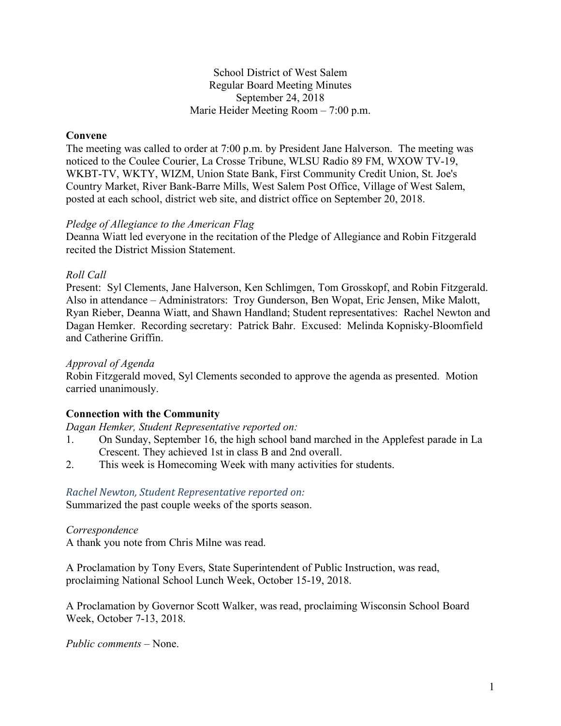### School District of West Salem Regular Board Meeting Minutes September 24, 2018 Marie Heider Meeting Room – 7:00 p.m.

## **Convene**

The meeting was called to order at 7:00 p.m. by President Jane Halverson. The meeting was noticed to the Coulee Courier, La Crosse Tribune, WLSU Radio 89 FM, WXOW TV-19, WKBT-TV, WKTY, WIZM, Union State Bank, First Community Credit Union, St. Joe's Country Market, River Bank-Barre Mills, West Salem Post Office, Village of West Salem, posted at each school, district web site, and district office on September 20, 2018.

#### *Pledge of Allegiance to the American Flag*

Deanna Wiatt led everyone in the recitation of the Pledge of Allegiance and Robin Fitzgerald recited the District Mission Statement.

## *Roll Call*

Present: Syl Clements, Jane Halverson, Ken Schlimgen, Tom Grosskopf, and Robin Fitzgerald. Also in attendance – Administrators: Troy Gunderson, Ben Wopat, Eric Jensen, Mike Malott, Ryan Rieber, Deanna Wiatt, and Shawn Handland; Student representatives: Rachel Newton and Dagan Hemker. Recording secretary: Patrick Bahr. Excused: Melinda Kopnisky-Bloomfield and Catherine Griffin.

#### *Approval of Agenda*

Robin Fitzgerald moved, Syl Clements seconded to approve the agenda as presented. Motion carried unanimously.

# **Connection with the Community**

*Dagan Hemker, Student Representative reported on:*

- 1. On Sunday, September 16, the high school band marched in the Applefest parade in La Crescent. They achieved 1st in class B and 2nd overall.
- 2. This week is Homecoming Week with many activities for students.

#### *Rachel Newton, Student Representative reported on:*

Summarized the past couple weeks of the sports season.

#### *Correspondence*

A thank you note from Chris Milne was read.

A Proclamation by Tony Evers, State Superintendent of Public Instruction, was read, proclaiming National School Lunch Week, October 15-19, 2018.

A Proclamation by Governor Scott Walker, was read, proclaiming Wisconsin School Board Week, October 7-13, 2018.

*Public comments –* None.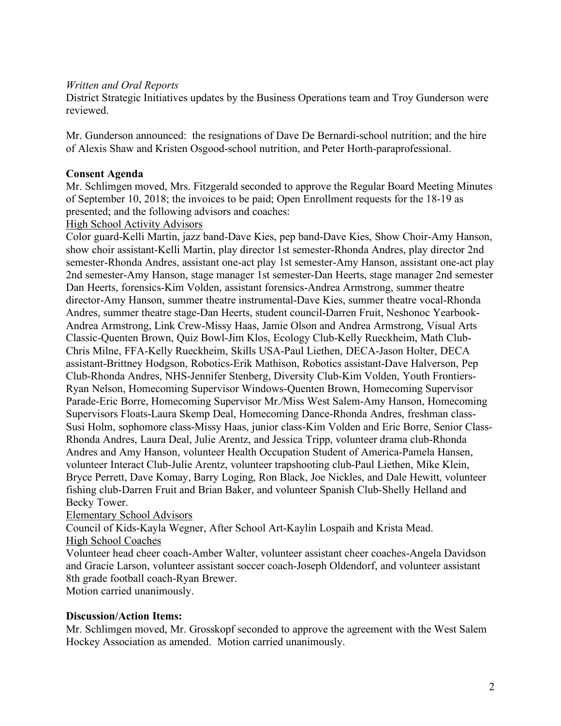## *Written and Oral Reports*

District Strategic Initiatives updates by the Business Operations team and Troy Gunderson were reviewed.

Mr. Gunderson announced: the resignations of Dave De Bernardi-school nutrition; and the hire of Alexis Shaw and Kristen Osgood-school nutrition, and Peter Horth-paraprofessional.

### **Consent Agenda**

Mr. Schlimgen moved, Mrs. Fitzgerald seconded to approve the Regular Board Meeting Minutes of September 10, 2018; the invoices to be paid; Open Enrollment requests for the 18-19 as presented; and the following advisors and coaches:

#### High School Activity Advisors

Color guard-Kelli Martin, jazz band-Dave Kies, pep band-Dave Kies, Show Choir-Amy Hanson, show choir assistant-Kelli Martin, play director 1st semester-Rhonda Andres, play director 2nd semester-Rhonda Andres, assistant one-act play 1st semester-Amy Hanson, assistant one-act play 2nd semester-Amy Hanson, stage manager 1st semester-Dan Heerts, stage manager 2nd semester Dan Heerts, forensics-Kim Volden, assistant forensics-Andrea Armstrong, summer theatre director-Amy Hanson, summer theatre instrumental-Dave Kies, summer theatre vocal-Rhonda Andres, summer theatre stage-Dan Heerts, student council-Darren Fruit, Neshonoc Yearbook-Andrea Armstrong, Link Crew-Missy Haas, Jamie Olson and Andrea Armstrong, Visual Arts Classic-Quenten Brown, Quiz Bowl-Jim Klos, Ecology Club-Kelly Rueckheim, Math Club-Chris Milne, FFA-Kelly Rueckheim, Skills USA-Paul Liethen, DECA-Jason Holter, DECA assistant-Brittney Hodgson, Robotics-Erik Mathison, Robotics assistant-Dave Halverson, Pep Club-Rhonda Andres, NHS-Jennifer Stenberg, Diversity Club-Kim Volden, Youth Frontiers-Ryan Nelson, Homecoming Supervisor Windows-Quenten Brown, Homecoming Supervisor Parade-Eric Borre, Homecoming Supervisor Mr./Miss West Salem-Amy Hanson, Homecoming Supervisors Floats-Laura Skemp Deal, Homecoming Dance-Rhonda Andres, freshman class-Susi Holm, sophomore class-Missy Haas, junior class-Kim Volden and Eric Borre, Senior Class-Rhonda Andres, Laura Deal, Julie Arentz, and Jessica Tripp, volunteer drama club-Rhonda Andres and Amy Hanson, volunteer Health Occupation Student of America-Pamela Hansen, volunteer Interact Club-Julie Arentz, volunteer trapshooting club-Paul Liethen, Mike Klein, Bryce Perrett, Dave Komay, Barry Loging, Ron Black, Joe Nickles, and Dale Hewitt, volunteer fishing club-Darren Fruit and Brian Baker, and volunteer Spanish Club-Shelly Helland and Becky Tower.

#### Elementary School Advisors

Council of Kids-Kayla Wegner, After School Art-Kaylin Lospaih and Krista Mead. High School Coaches

Volunteer head cheer coach-Amber Walter, volunteer assistant cheer coaches-Angela Davidson and Gracie Larson, volunteer assistant soccer coach-Joseph Oldendorf, and volunteer assistant 8th grade football coach-Ryan Brewer.

Motion carried unanimously.

#### **Discussion/Action Items:**

Mr. Schlimgen moved, Mr. Grosskopf seconded to approve the agreement with the West Salem Hockey Association as amended. Motion carried unanimously.